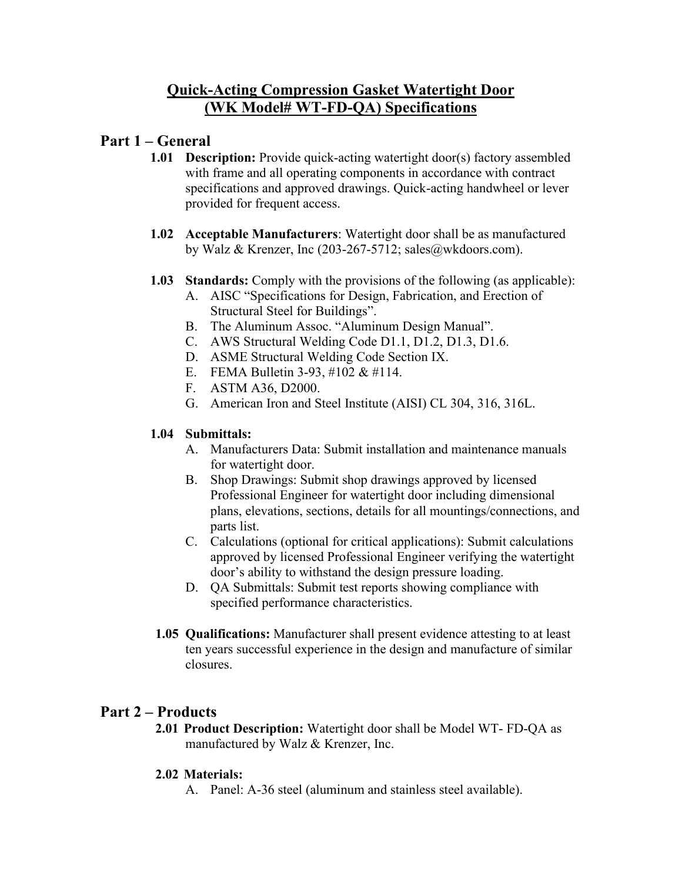# **Quick-Acting Compression Gasket Watertight Door (WK Model# WT-FD-QA) Specifications**

## **Part 1 – General**

- **1.01 Description:** Provide quick-acting watertight door(s) factory assembled with frame and all operating components in accordance with contract specifications and approved drawings. Quick-acting handwheel or lever provided for frequent access.
- **1.02 Acceptable Manufacturers**: Watertight door shall be as manufactured by Walz & Krenzer, Inc (203-267-5712; sales@wkdoors.com).
- **1.03 Standards:** Comply with the provisions of the following (as applicable):
	- A. AISC "Specifications for Design, Fabrication, and Erection of Structural Steel for Buildings".
	- B. The Aluminum Assoc. "Aluminum Design Manual".
	- C. AWS Structural Welding Code D1.1, D1.2, D1.3, D1.6.
	- D. ASME Structural Welding Code Section IX.
	- E. FEMA Bulletin 3-93, #102 & #114.
	- F. ASTM A36, D2000.
	- G. American Iron and Steel Institute (AISI) CL 304, 316, 316L.

### **1.04 Submittals:**

- A. Manufacturers Data: Submit installation and maintenance manuals for watertight door.
- B. Shop Drawings: Submit shop drawings approved by licensed Professional Engineer for watertight door including dimensional plans, elevations, sections, details for all mountings/connections, and parts list.
- C. Calculations (optional for critical applications): Submit calculations approved by licensed Professional Engineer verifying the watertight door's ability to withstand the design pressure loading.
- D. QA Submittals: Submit test reports showing compliance with specified performance characteristics.
- **1.05 Qualifications:** Manufacturer shall present evidence attesting to at least ten years successful experience in the design and manufacture of similar closures.

## **Part 2 – Products**

**2.01 Product Description:** Watertight door shall be Model WT- FD-QA as manufactured by Walz & Krenzer, Inc.

## **2.02 Materials:**

A. Panel: A-36 steel (aluminum and stainless steel available).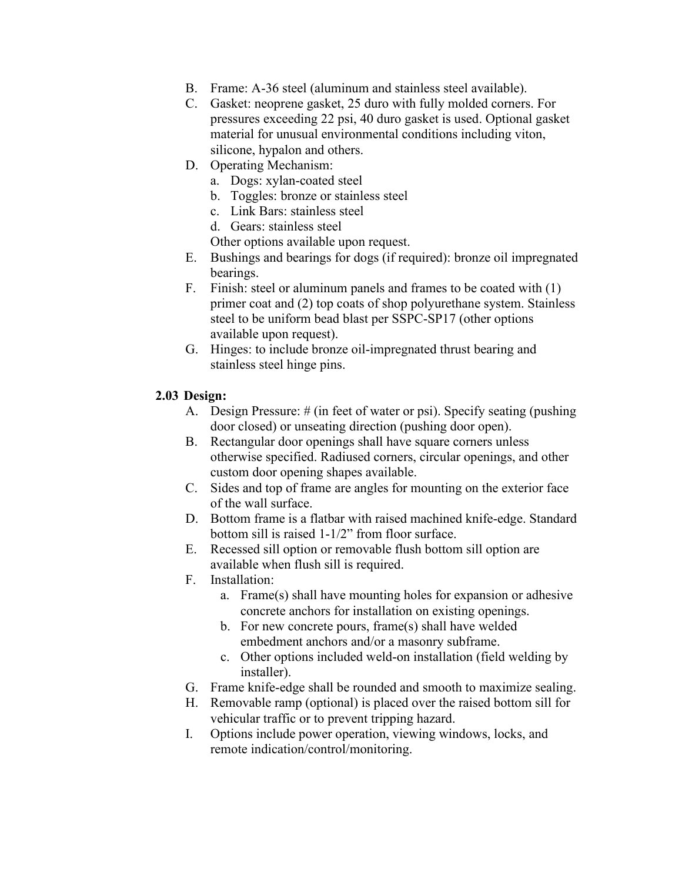- B. Frame: A-36 steel (aluminum and stainless steel available).
- C. Gasket: neoprene gasket, 25 duro with fully molded corners. For pressures exceeding 22 psi, 40 duro gasket is used. Optional gasket material for unusual environmental conditions including viton, silicone, hypalon and others.
- D. Operating Mechanism:
	- a. Dogs: xylan-coated steel
	- b. Toggles: bronze or stainless steel
	- c. Link Bars: stainless steel
	- d. Gears: stainless steel

Other options available upon request.

- E. Bushings and bearings for dogs (if required): bronze oil impregnated bearings.
- F. Finish: steel or aluminum panels and frames to be coated with (1) primer coat and (2) top coats of shop polyurethane system. Stainless steel to be uniform bead blast per SSPC-SP17 (other options available upon request).
- G. Hinges: to include bronze oil-impregnated thrust bearing and stainless steel hinge pins.

#### **2.03 Design:**

- A. Design Pressure: # (in feet of water or psi). Specify seating (pushing door closed) or unseating direction (pushing door open).
- B. Rectangular door openings shall have square corners unless otherwise specified. Radiused corners, circular openings, and other custom door opening shapes available.
- C. Sides and top of frame are angles for mounting on the exterior face of the wall surface.
- D. Bottom frame is a flatbar with raised machined knife-edge. Standard bottom sill is raised 1-1/2" from floor surface.
- E. Recessed sill option or removable flush bottom sill option are available when flush sill is required.
- F. Installation:
	- a. Frame(s) shall have mounting holes for expansion or adhesive concrete anchors for installation on existing openings.
	- b. For new concrete pours, frame(s) shall have welded embedment anchors and/or a masonry subframe.
	- c. Other options included weld-on installation (field welding by installer).
- G. Frame knife-edge shall be rounded and smooth to maximize sealing.
- H. Removable ramp (optional) is placed over the raised bottom sill for vehicular traffic or to prevent tripping hazard.
- I. Options include power operation, viewing windows, locks, and remote indication/control/monitoring.